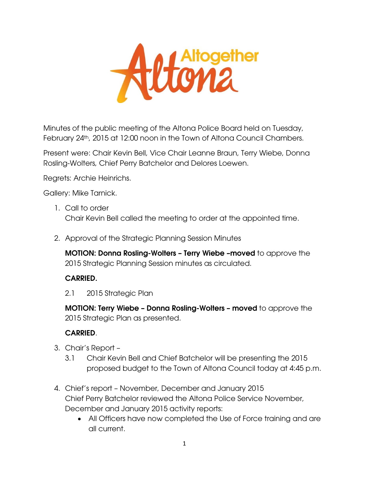

Minutes of the public meeting of the Altona Police Board held on Tuesday, February 24<sup>th</sup>, 2015 at 12:00 noon in the Town of Altona Council Chambers.

Present were: Chair Kevin Bell, Vice Chair Leanne Braun, Terry Wiebe, Donna Rosling-Wolters, Chief Perry Batchelor and Delores Loewen.

Regrets: Archie Heinrichs.

Gallery: Mike Tarnick.

- 1. Call to order Chair Kevin Bell called the meeting to order at the appointed time.
- 2. Approval of the Strategic Planning Session Minutes

**MOTION: Donna Rosling-Wolters – Terry Wiebe –moved** to approve the 2015 Strategic Planning Session minutes as circulated.

## **CARRIED.**

2.1 2015 Strategic Plan

**MOTION: Terry Wiebe – Donna Rosling-Wolters – moved** to approve the 2015 Strategic Plan as presented.

## **CARRIED**.

- 3. Chair's Report
	- 3.1 Chair Kevin Bell and Chief Batchelor will be presenting the 2015 proposed budget to the Town of Altona Council today at 4:45 p.m.
- 4. Chief's report November, December and January 2015 Chief Perry Batchelor reviewed the Altona Police Service November, December and January 2015 activity reports:
	- All Officers have now completed the Use of Force training and are all current.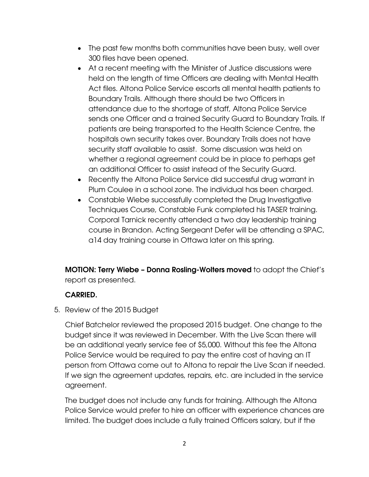- The past few months both communities have been busy, well over 300 files have been opened.
- At a recent meeting with the Minister of Justice discussions were held on the length of time Officers are dealing with Mental Health Act files. Altona Police Service escorts all mental health patients to Boundary Trails. Although there should be two Officers in attendance due to the shortage of staff, Altona Police Service sends one Officer and a trained Security Guard to Boundary Trails. If patients are being transported to the Health Science Centre, the hospitals own security takes over. Boundary Trails does not have security staff available to assist. Some discussion was held on whether a regional agreement could be in place to perhaps get an additional Officer to assist instead of the Security Guard.
- Recently the Altona Police Service did successful drug warrant in Plum Coulee in a school zone. The individual has been charged.
- Constable Wiebe successfully completed the Drug Investigative Techniques Course, Constable Funk completed his TASER training. Corporal Tarnick recently attended a two day leadership training course in Brandon. Acting Sergeant Defer will be attending a SPAC, a14 day training course in Ottawa later on this spring.

**MOTION: Terry Wiebe – Donna Rosling-Wolters moved** to adopt the Chief's report as presented.

## **CARRIED.**

5. Review of the 2015 Budget

Chief Batchelor reviewed the proposed 2015 budget. One change to the budget since it was reviewed in December. With the Live Scan there will be an additional yearly service fee of \$5,000. Without this fee the Altona Police Service would be required to pay the entire cost of having an IT person from Ottawa come out to Altona to repair the Live Scan if needed. If we sign the agreement updates, repairs, etc. are included in the service agreement.

The budget does not include any funds for training. Although the Altona Police Service would prefer to hire an officer with experience chances are limited. The budget does include a fully trained Officers salary, but if the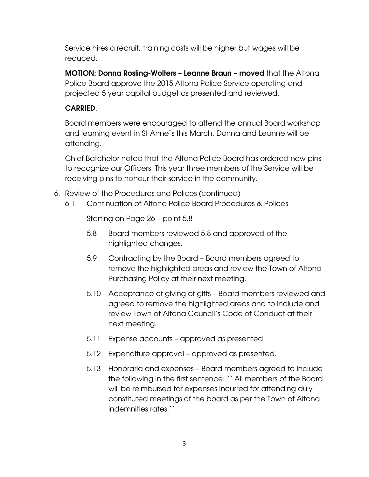Service hires a recruit, training costs will be higher but wages will be reduced.

**MOTION: Donna Rosling-Wolters – Leanne Braun – moved** that the Altona Police Board approve the 2015 Altona Police Service operating and projected 5 year capital budget as presented and reviewed.

## **CARRIED**.

Board members were encouraged to attend the annual Board workshop and learning event in St Anne`s this March. Donna and Leanne will be attending.

Chief Batchelor noted that the Altona Police Board has ordered new pins to recognize our Officers. This year three members of the Service will be receiving pins to honour their service in the community.

- 6. Review of the Procedures and Polices (continued)
	- 6.1 Continuation of Altona Police Board Procedures & Polices

Starting on Page 26 – point 5.8

- 5.8 Board members reviewed 5.8 and approved of the highlighted changes.
- 5.9 Contracting by the Board Board members agreed to remove the highlighted areas and review the Town of Altona Purchasing Policy at their next meeting.
- 5.10 Acceptance of giving of gifts Board members reviewed and agreed to remove the highlighted areas and to include and review Town of Altona Council's Code of Conduct at their next meeting.
- 5.11 Expense accounts approved as presented.
- 5.12 Expenditure approval approved as presented.
- 5.13 Honoraria and expenses Board members agreed to include the following in the first sentence: `` All members of the Board will be reimbursed for expenses incurred for attending duly constituted meetings of the board as per the Town of Altona indemnities rates.``